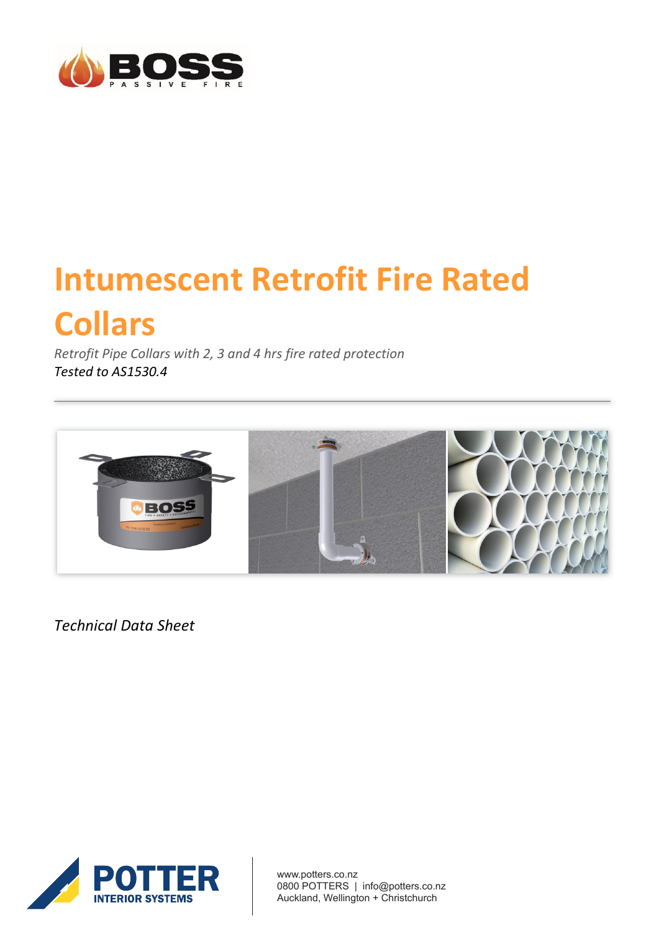

# **Intumescent Retrofit Fire Rated Collars**

*Retrofit Pipe Collars with 2, 3 and 4 hrs fire rated protection Tested to AS1530.4*



*Technical Data Sheet*



www.potters.co.nz 0800 POTTERS | info@potters.co.nz Auckland, Wellington + Christchurch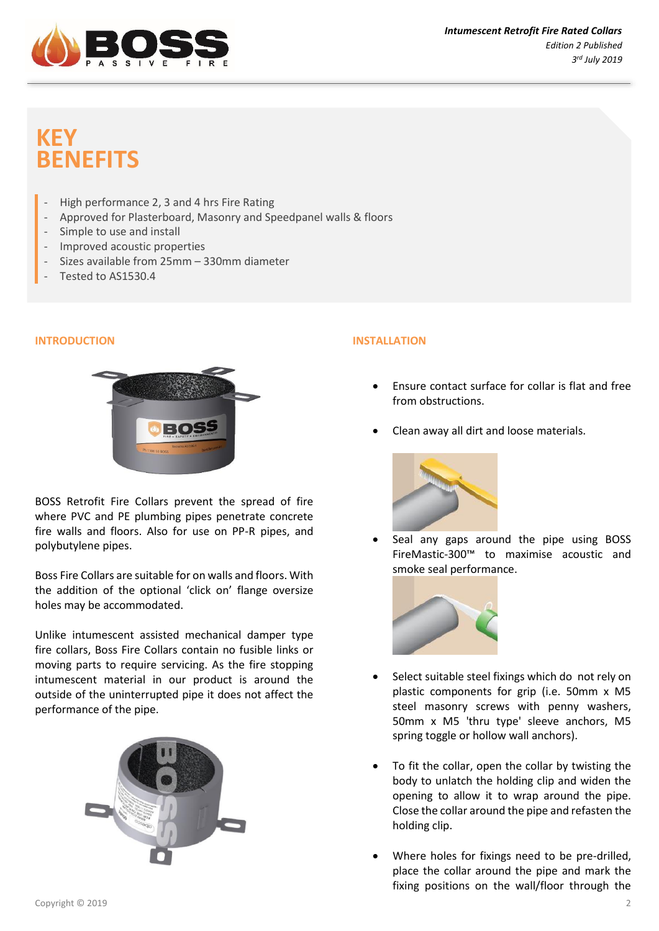

# **KEY BENEFITS**

- High performance 2, 3 and 4 hrs Fire Rating
- Approved for Plasterboard, Masonry and Speedpanel walls & floors
- Simple to use and install
- Improved acoustic properties
- Sizes available from 25mm 330mm diameter
- Tested to AS1530.4

### **INTRODUCTION**



BOSS Retrofit Fire Collars prevent the spread of fire where PVC and PE plumbing pipes penetrate concrete fire walls and floors. Also for use on PP-R pipes, and polybutylene pipes.

Boss Fire Collars are suitable for on walls and floors. With the addition of the optional 'click on' flange oversize holes may be accommodated.

Unlike intumescent assisted mechanical damper type fire collars, Boss Fire Collars contain no fusible links or moving parts to require servicing. As the fire stopping intumescent material in our product is around the outside of the uninterrupted pipe it does not affect the performance of the pipe.



## **INSTALLATION**

- Ensure contact surface for collar is flat and free from obstructions.
- Clean away all dirt and loose materials.



• Seal any gaps around the pipe using BOSS FireMastic-300™ to maximise acoustic and smoke seal performance.



- Select suitable steel fixings which do not rely on plastic components for grip (i.e. 50mm x M5 steel masonry screws with penny washers, 50mm x M5 'thru type' sleeve anchors, M5 spring toggle or hollow wall anchors).
- To fit the collar, open the collar by twisting the body to unlatch the holding clip and widen the opening to allow it to wrap around the pipe. Close the collar around the pipe and refasten the holding clip.
- Where holes for fixings need to be pre-drilled, place the collar around the pipe and mark the fixing positions on the wall/floor through the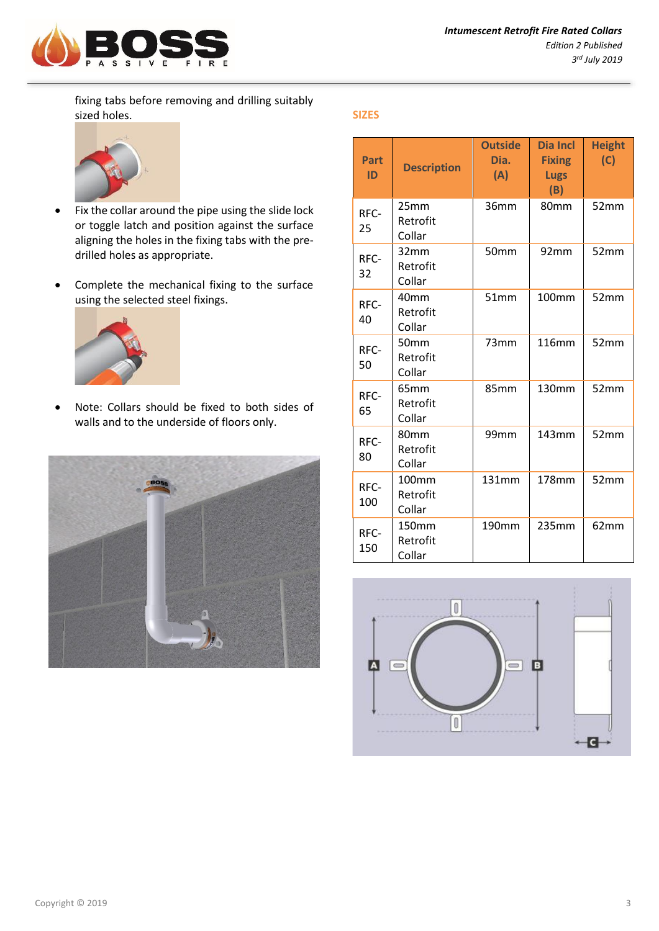

fixing tabs before removing and drilling suitably sized holes.



- Fix the collar around the pipe using the slide lock or toggle latch and position against the surface aligning the holes in the fixing tabs with the predrilled holes as appropriate.
- Complete the mechanical fixing to the surface using the selected steel fixings.



• Note: Collars should be fixed to both sides of walls and to the underside of floors only.



### **SIZES**

| Part<br>ID  | <b>Description</b>          | <b>Outside</b><br>Dia.<br>(A) | <b>Dia Incl</b><br><b>Fixing</b><br><b>Lugs</b><br>(B) | <b>Height</b><br>(C) |
|-------------|-----------------------------|-------------------------------|--------------------------------------------------------|----------------------|
| RFC-<br>25  | 25mm<br>Retrofit<br>Collar  | 36mm                          | 80mm                                                   | 52mm                 |
| RFC-<br>32  | 32mm<br>Retrofit<br>Collar  | 50mm                          | 92mm                                                   | 52mm                 |
| RFC-<br>40  | 40mm<br>Retrofit<br>Collar  | 51mm                          | 100mm                                                  | 52mm                 |
| RFC-<br>50  | 50mm<br>Retrofit<br>Collar  | 73mm                          | <b>116mm</b>                                           | 52mm                 |
| RFC-<br>65  | 65mm<br>Retrofit<br>Collar  | 85mm                          | 130mm                                                  | 52mm                 |
| RFC-<br>80  | 80mm<br>Retrofit<br>Collar  | 99mm                          | 143mm                                                  | 52mm                 |
| RFC-<br>100 | 100mm<br>Retrofit<br>Collar | 131mm                         | 178mm                                                  | 52mm                 |
| RFC-<br>150 | 150mm<br>Retrofit<br>Collar | 190mm                         | 235mm                                                  | 62mm                 |